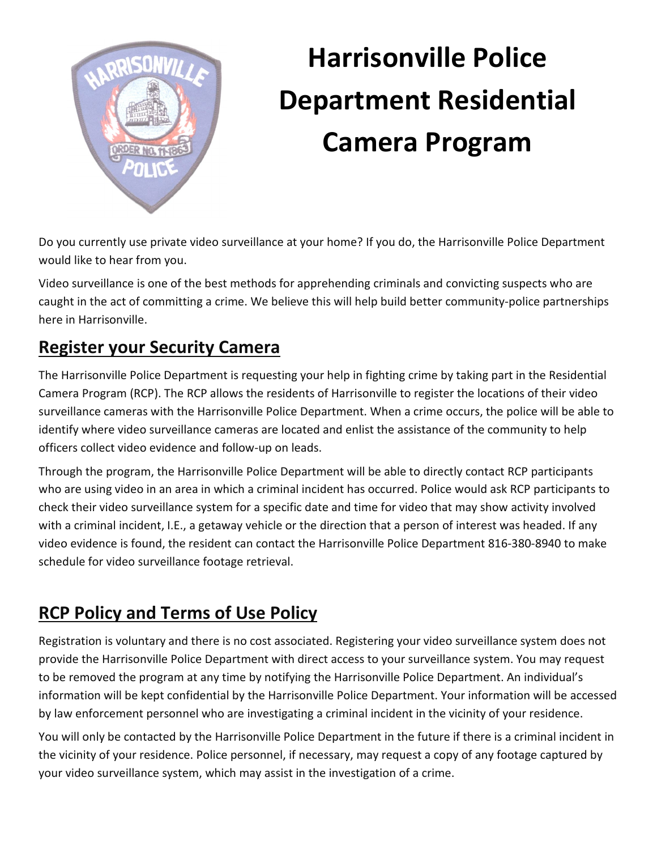

## **Harrisonville Police Department Residential Camera Program**

Do you currently use private video surveillance at your home? If you do, the Harrisonville Police Department would like to hear from you.

Video surveillance is one of the best methods for apprehending criminals and convicting suspects who are caught in the act of committing a crime. We believe this will help build better community-police partnerships here in Harrisonville.

## **Register your Security Camera**

The Harrisonville Police Department is requesting your help in fighting crime by taking part in the Residential Camera Program (RCP). The RCP allows the residents of Harrisonville to register the locations of their video surveillance cameras with the Harrisonville Police Department. When a crime occurs, the police will be able to identify where video surveillance cameras are located and enlist the assistance of the community to help officers collect video evidence and follow-up on leads.

Through the program, the Harrisonville Police Department will be able to directly contact RCP participants who are using video in an area in which a criminal incident has occurred. Police would ask RCP participants to check their video surveillance system for a specific date and time for video that may show activity involved with a criminal incident, I.E., a getaway vehicle or the direction that a person of interest was headed. If any video evidence is found, the resident can contact the Harrisonville Police Department 816-380-8940 to make schedule for video surveillance footage retrieval.

## **RCP Policy and Terms of Use Policy**

Registration is voluntary and there is no cost associated. Registering your video surveillance system does not provide the Harrisonville Police Department with direct access to your surveillance system. You may request to be removed the program at any time by notifying the Harrisonville Police Department. An individual's information will be kept confidential by the Harrisonville Police Department. Your information will be accessed by law enforcement personnel who are investigating a criminal incident in the vicinity of your residence.

You will only be contacted by the Harrisonville Police Department in the future if there is a criminal incident in the vicinity of your residence. Police personnel, if necessary, may request a copy of any footage captured by your video surveillance system, which may assist in the investigation of a crime.